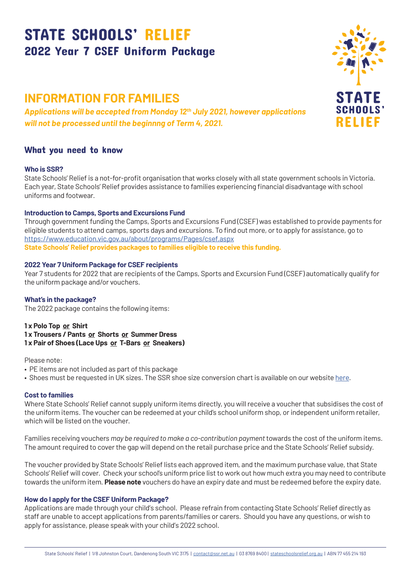# STATE SCHOOLS' RELIEF 2022 Year 7 CSEF Uniform Package

## **INFORMATION FOR FAMILIES**

*Applications will be accepted from Monday 12th July 2021, however applications will not be processed until the beginnng of Term 4, 2021.*

### What you need to know

#### **Who is SSR?**

State Schools' Relief is a not-for-profit organisation that works closely with all state government schools in Victoria. Each year, State Schools' Relief provides assistance to families experiencing financial disadvantage with school uniforms and footwear.

#### **Introduction to Camps, Sports and Excursions Fund**

Through government funding the Camps, Sports and Excursions Fund (CSEF) was established to provide payments for eligible students to attend camps, sports days and excursions. To find out more, or to apply for assistance, go to https://www.education.vic.gov.au/about/programs/Pages/csef.aspx **State Schools' Relief provides packages to families eligible to receive this funding.**

#### **2022 Year 7 Uniform Package for CSEF recipients**

Year 7 students for 2022 that are recipients of the Camps, Sports and Excursion Fund (CSEF) automatically qualify for the uniform package and/or vouchers.

#### **What's in the package?**

The 2022 package contains the following items:

**1 x Polo Top or Shirt 1 x Trousers / Pants or Shorts or Summer Dress 1 x Pair of Shoes (Lace Ups or T-Bars or Sneakers)**

Please note:

- PE items are not included as part of this package
- Shoes must be requested in UK sizes. The SSR shoe size conversion chart is available on our website [here.](https://stateschoolsrelief.org.au/resources/)

#### **Cost to families**

Where State Schools' Relief cannot supply uniform items directly, you will receive a voucher that subsidises the cost of the uniform items. The voucher can be redeemed at your child's school uniform shop, or independent uniform retailer, which will be listed on the voucher.

Families receiving vouchers *may be required to make a co-contribution payment* towards the cost of the uniform items. The amount required to cover the gap will depend on the retail purchase price and the State Schools' Relief subsidy.

The voucher provided by State Schools' Relief lists each approved item, and the maximum purchase value, that State Schools' Relief will cover. Check your school's uniform price list to work out how much extra you may need to contribute towards the uniform item. **Please note** vouchers do have an expiry date and must be redeemed before the expiry date.

#### **How do I apply for the CSEF Uniform Package?**

Applications are made through your child's school. Please refrain from contacting State Schools' Relief directly as staff are unable to accept applications from parents/families or carers. Should you have any questions, or wish to apply for assistance, please speak with your child's 2022 school.